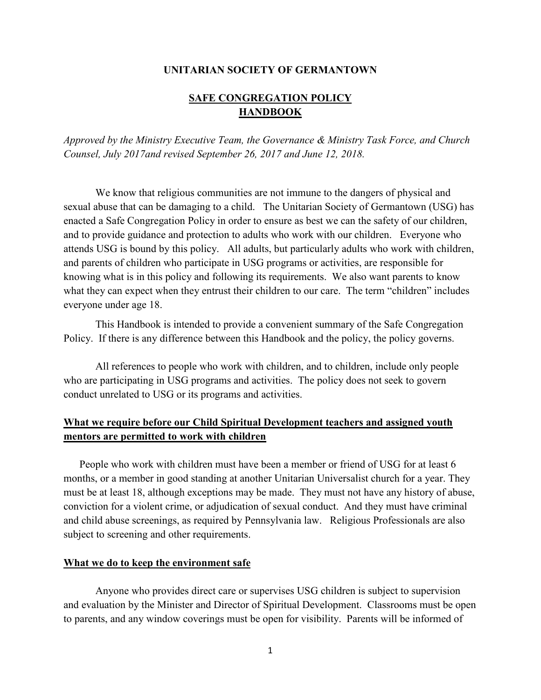### **UNITARIAN SOCIETY OF GERMANTOWN**

# **SAFE CONGREGATION POLICY HANDBOOK**

*Approved by the Ministry Executive Team, the Governance & Ministry Task Force, and Church Counsel, July 2017and revised September 26, 2017 and June 12, 2018.* 

We know that religious communities are not immune to the dangers of physical and sexual abuse that can be damaging to a child. The Unitarian Society of Germantown (USG) has enacted a Safe Congregation Policy in order to ensure as best we can the safety of our children, and to provide guidance and protection to adults who work with our children. Everyone who attends USG is bound by this policy. All adults, but particularly adults who work with children, and parents of children who participate in USG programs or activities, are responsible for knowing what is in this policy and following its requirements. We also want parents to know what they can expect when they entrust their children to our care. The term "children" includes everyone under age 18.

This Handbook is intended to provide a convenient summary of the Safe Congregation Policy. If there is any difference between this Handbook and the policy, the policy governs.

All references to people who work with children, and to children, include only people who are participating in USG programs and activities. The policy does not seek to govern conduct unrelated to USG or its programs and activities.

# **What we require before our Child Spiritual Development teachers and assigned youth mentors are permitted to work with children**

People who work with children must have been a member or friend of USG for at least 6 months, or a member in good standing at another Unitarian Universalist church for a year. They must be at least 18, although exceptions may be made. They must not have any history of abuse, conviction for a violent crime, or adjudication of sexual conduct. And they must have criminal and child abuse screenings, as required by Pennsylvania law. Religious Professionals are also subject to screening and other requirements.

#### **What we do to keep the environment safe**

 Anyone who provides direct care or supervises USG children is subject to supervision and evaluation by the Minister and Director of Spiritual Development. Classrooms must be open to parents, and any window coverings must be open for visibility. Parents will be informed of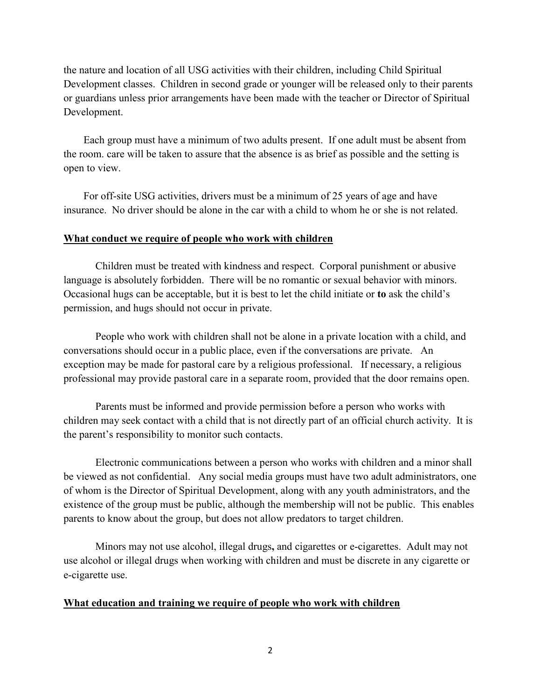the nature and location of all USG activities with their children, including Child Spiritual Development classes. Children in second grade or younger will be released only to their parents or guardians unless prior arrangements have been made with the teacher or Director of Spiritual Development.

Each group must have a minimum of two adults present. If one adult must be absent from the room. care will be taken to assure that the absence is as brief as possible and the setting is open to view.

For off-site USG activities, drivers must be a minimum of 25 years of age and have insurance. No driver should be alone in the car with a child to whom he or she is not related.

## **What conduct we require of people who work with children**

 Children must be treated with kindness and respect. Corporal punishment or abusive language is absolutely forbidden. There will be no romantic or sexual behavior with minors. Occasional hugs can be acceptable, but it is best to let the child initiate or **to** ask the child's permission, and hugs should not occur in private.

 People who work with children shall not be alone in a private location with a child, and conversations should occur in a public place, even if the conversations are private. An exception may be made for pastoral care by a religious professional. If necessary, a religious professional may provide pastoral care in a separate room, provided that the door remains open.

 Parents must be informed and provide permission before a person who works with children may seek contact with a child that is not directly part of an official church activity. It is the parent's responsibility to monitor such contacts.

 Electronic communications between a person who works with children and a minor shall be viewed as not confidential. Any social media groups must have two adult administrators, one of whom is the Director of Spiritual Development, along with any youth administrators, and the existence of the group must be public, although the membership will not be public. This enables parents to know about the group, but does not allow predators to target children.

 Minors may not use alcohol, illegal drugs**,** and cigarettes or e-cigarettes. Adult may not use alcohol or illegal drugs when working with children and must be discrete in any cigarette or e-cigarette use.

## **What education and training we require of people who work with children**